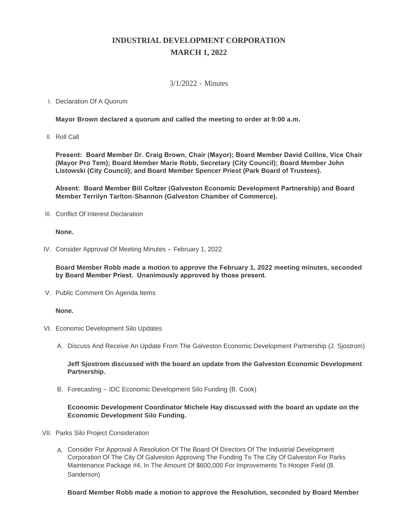# **INDUSTRIAL DEVELOPMENT CORPORATION MARCH 1, 2022**

## 3/1/2022 - Minutes

## I. Declaration Of A Quorum

**Mayor Brown declared a quorum and called the meeting to order at 9:00 a.m.**

II. Roll Call

**Present: Board Member Dr. Craig Brown, Chair (Mayor); Board Member David Collins, Vice Chair (Mayor Pro Tem); Board Member Marie Robb, Secretary (City Council); Board Member John Listowski (City Council); and Board Member Spencer Priest (Park Board of Trustees).**

**Absent: Board Member Bill Coltzer (Galveston Economic Development Partnership) and Board Member Terrilyn Tarlton-Shannon (Galveston Chamber of Commerce).**

III. Conflict Of Interest Declaration

### **None.**

IV. Consider Approval Of Meeting Minutes - February 1, 2022

**Board Member Robb made a motion to approve the February 1, 2022 meeting minutes, seconded by Board Member Priest. Unanimously approved by those present.**

V. Public Comment On Agenda Items

### **None.**

- VI. Economic Development Silo Updates
	- A. Discuss And Receive An Update From The Galveston Economic Development Partnership (J. Sjostrom)

**Jeff Sjostrom discussed with the board an update from the Galveston Economic Development Partnership.**

B. Forecasting - IDC Economic Development Silo Funding (B. Cook)

## **Economic Development Coordinator Michele Hay discussed with the board an update on the Economic Development Silo Funding.**

- VII. Parks Silo Project Consideration
	- A. Consider For Approval A Resolution Of The Board Of Directors Of The Industrial Development Corporation Of The City Of Galveston Approving The Funding To The City Of Galveston For Parks Maintenance Package #4, In The Amount Of \$600,000 For Improvements To Hooper Field (B. Sanderson)

**Board Member Robb made a motion to approve the Resolution, seconded by Board Member**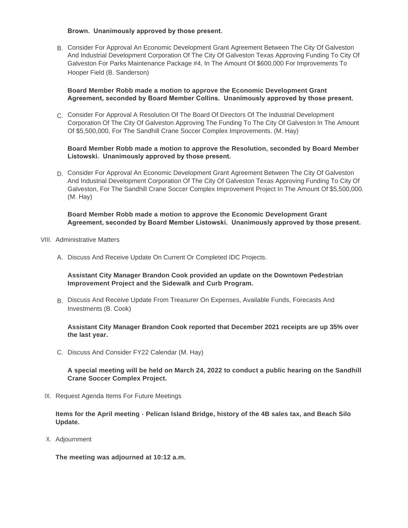#### **Brown. Unanimously approved by those present.**

B. Consider For Approval An Economic Development Grant Agreement Between The City Of Galveston And Industrial Development Corporation Of The City Of Galveston Texas Approving Funding To City Of Galveston For Parks Maintenance Package #4, In The Amount Of \$600,000 For Improvements To Hooper Field (B. Sanderson)

## **Board Member Robb made a motion to approve the Economic Development Grant Agreement, seconded by Board Member Collins. Unanimously approved by those present.**

C. Consider For Approval A Resolution Of The Board Of Directors Of The Industrial Development Corporation Of The City Of Galveston Approving The Funding To The City Of Galveston In The Amount Of \$5,500,000, For The Sandhill Crane Soccer Complex Improvements. (M. Hay)

## **Board Member Robb made a motion to approve the Resolution, seconded by Board Member Listowski. Unanimously approved by those present.**

D. Consider For Approval An Economic Development Grant Agreement Between The City Of Galveston And Industrial Development Corporation Of The City Of Galveston Texas Approving Funding To City Of Galveston, For The Sandhill Crane Soccer Complex Improvement Project In The Amount Of \$5,500,000. (M. Hay)

### **Board Member Robb made a motion to approve the Economic Development Grant Agreement, seconded by Board Member Listowski. Unanimously approved by those present.**

- VIII. Administrative Matters
	- A. Discuss And Receive Update On Current Or Completed IDC Projects.

**Assistant City Manager Brandon Cook provided an update on the Downtown Pedestrian Improvement Project and the Sidewalk and Curb Program.**

B. Discuss And Receive Update From Treasurer On Expenses, Available Funds, Forecasts And Investments (B. Cook)

**Assistant City Manager Brandon Cook reported that December 2021 receipts are up 35% over the last year.**

C. Discuss And Consider FY22 Calendar (M. Hay)

**A special meeting will be held on March 24, 2022 to conduct a public hearing on the Sandhill Crane Soccer Complex Project.**

IX. Request Agenda Items For Future Meetings

**Items for the April meeting - Pelican Island Bridge, history of the 4B sales tax, and Beach Silo Update.**

Adjournment X.

**The meeting was adjourned at 10:12 a.m.**